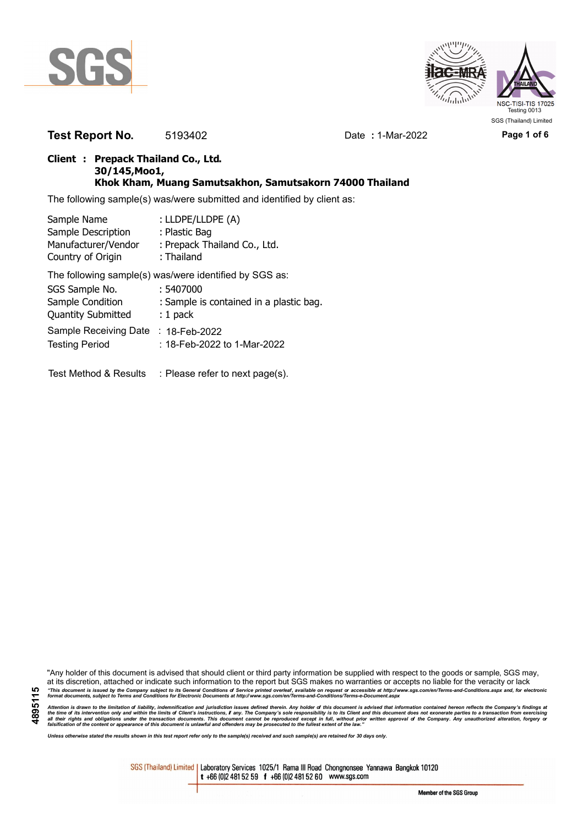



**Test Report No.** 5193402 Date **:** 1-Mar-2022 **Page 1 of 6**

### **Client : Prepack Thailand Co., Ltd. 30/145,Moo1, Khok Kham, Muang Samutsakhon, Samutsakorn 74000 Thailand**

The following sample(s) was/were submitted and identified by client as:

| Sample Name               | : LLDPE/LLDPE (A)                                      |
|---------------------------|--------------------------------------------------------|
| Sample Description        | : Plastic Bag                                          |
| Manufacturer/Vendor       | : Prepack Thailand Co., Ltd.                           |
| Country of Origin         | : Thailand                                             |
|                           | The following sample(s) was/were identified by SGS as: |
| SGS Sample No.            | : 5407000                                              |
| Sample Condition          | : Sample is contained in a plastic bag.                |
| <b>Quantity Submitted</b> | $: 1$ pack                                             |
| Sample Receiving Date     | $: 18$ -Feb-2022                                       |
| <b>Testing Period</b>     | : 18-Feb-2022 to 1-Mar-2022                            |
|                           |                                                        |
| Test Method & Results     | : Please refer to next page(s).                        |

"Any holder of this document is advised that should client or third party information be supplied with respect to the goods or sample, SGS may, at its discretion, attached or indicate such information to the report but SGS makes no warranties or accepts no liable for the veracity or lack "This document is issued by the Company subject to its General Conditions of Service printed overleaf, available on request or accessible at http://www.sgs.com/en/Terms-and-Conditions.aspx and, for electronic<br>format docume

Attention is drawn to the limitation of liability, indemnification and jurisdiction issues defined therein. Any holder of this document is advised that information contained hereon reflects the Company's findings at<br>all th

*Unless otherwise stated the results shown in this test report refer only to the sample(s) received and such sample(s) are retained for 30 days only.*

SGS (Thailand) Limited | Laboratory Services 1025/1 Rama III Road Chongnonsee Yannawa Bangkok 10120 t +66 (0)2 481 52 59 f +66 (0)2 481 52 60 www.sgs.com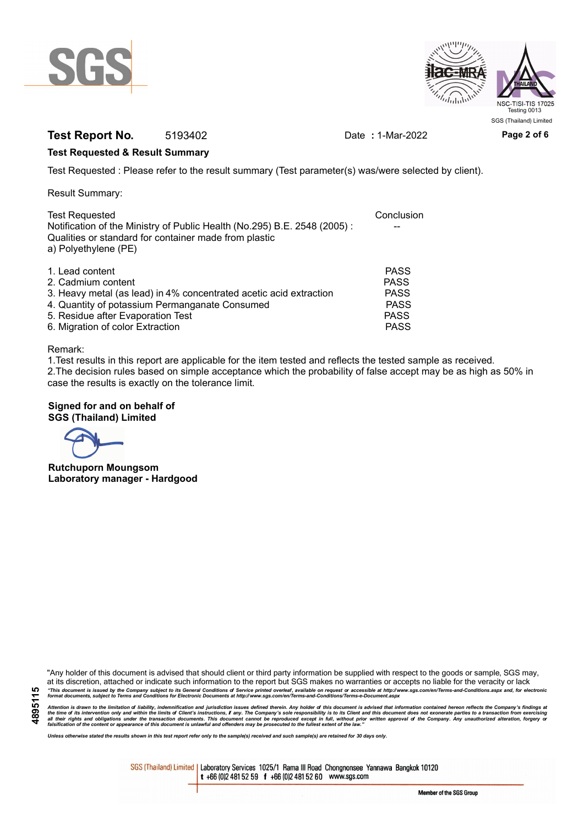



## **Test Report No.** 5193402 Date **:** 1-Mar-2022 **Page 2 of 6**

### **Test Requested & Result Summary**

Test Requested : Please refer to the result summary (Test parameter(s) was/were selected by client).

Result Summary:

| <b>Test Requested</b><br>Notification of the Ministry of Public Health (No.295) B.E. 2548 (2005): | Conclusion  |
|---------------------------------------------------------------------------------------------------|-------------|
| Qualities or standard for container made from plastic<br>a) Polyethylene (PE)                     |             |
| 1. Lead content                                                                                   | <b>PASS</b> |
| 2. Cadmium content                                                                                | <b>PASS</b> |
| 3. Heavy metal (as lead) in 4% concentrated acetic acid extraction                                | <b>PASS</b> |
| 4. Quantity of potassium Permanganate Consumed                                                    | <b>PASS</b> |
| 5. Residue after Evaporation Test                                                                 | <b>PASS</b> |
| 6. Migration of color Extraction                                                                  | <b>PASS</b> |

#### Remark:

1.Test results in this report are applicable for the item tested and reflects the tested sample as received. 2.The decision rules based on simple acceptance which the probability of false accept may be as high as 50% in case the results is exactly on the tolerance limit.

### **Signed for and on behalf of SGS (Thailand) Limited**

**Rutchuporn Moungsom Laboratory manager - Hardgood**

"Any holder of this document is advised that should client or third party information be supplied with respect to the goods or sample, SGS may, at its discretion, attached or indicate such information to the report but SGS makes no warranties or accepts no liable for the veracity or lack "This document is issued by the Company subject to its General Conditions of Service printed overleaf, available on request or accessible at http://www.sgs.com/en/Terms-and-Conditions.aspx and, for electronic<br>format docume

Attention is drawn to the limitation of liability, indemnification and jurisdiction issues defined therein. Any holder of this document is advised that information contained hereon reflects the Company's findings at<br>all th

*Unless otherwise stated the results shown in this test report refer only to the sample(s) received and such sample(s) are retained for 30 days only.*

SGS (Thailand) Limited | Laboratory Services 1025/1 Rama III Road Chongnonsee Yannawa Bangkok 10120 t +66 (0)2 481 52 59 f +66 (0)2 481 52 60 www.sgs.com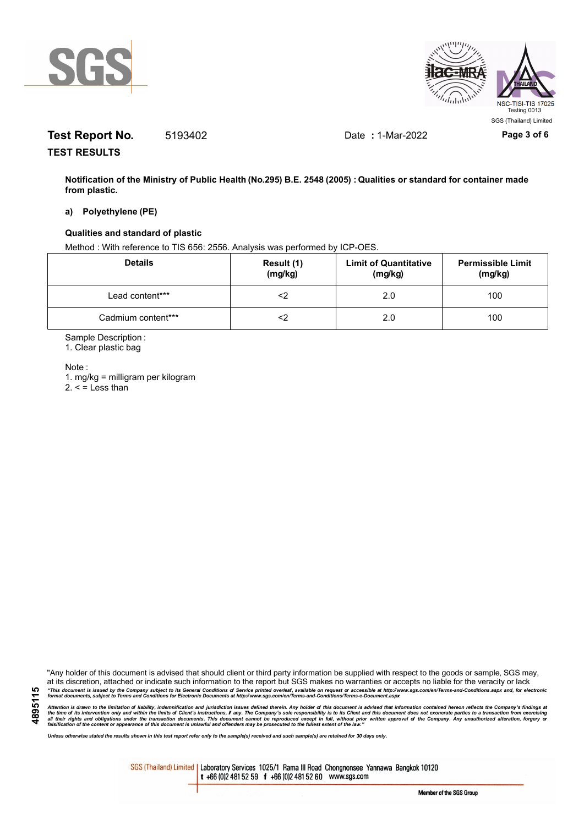



# **Test Report No.** 5193402 Date **:** 1-Mar-2022 **Page 3 of 6**

**TEST RESULTS**

**Notification of the Ministry of Public Health (No.295) B.E. 2548 (2005) : Qualities or standard for container made from plastic.**

#### **a) Polyethylene (PE)**

#### **Qualities and standard of plastic**

Method : With reference to TIS 656: 2556. Analysis was performed by ICP-OES.

| <b>Details</b>     | Result (1)<br>(mg/kg) | <b>Limit of Quantitative</b><br>(mg/kg) | <b>Permissible Limit</b><br>(mg/kg) |
|--------------------|-----------------------|-----------------------------------------|-------------------------------------|
| Lead content***    |                       | 2.0                                     | 100                                 |
| Cadmium content*** |                       | 2.0                                     | 100                                 |

Sample Description :

1. Clear plastic bag

Note :

**4895115**

1. mg/kg = milligram per kilogram  $2. <$  = Less than

"Any holder of this document is advised that should client or third party information be supplied with respect to the goods or sample, SGS may, at its discretion, attached or indicate such information to the report but SGS makes no warranties or accepts no liable for the veracity or lack "This document is issued by the Company subject to its General Conditions of Service printed overleaf, available on request or accessible at http://www.sgs.com/en/Terms-and-Conditions.aspx and, for electronic<br>format docume

Attention is drawn to the limitation of liability, indemnification and jurisdiction issues defined therein. Any holder of this document is advised that information contained hereon reflects the Company's findings at<br>all th

*Unless otherwise stated the results shown in this test report refer only to the sample(s) received and such sample(s) are retained for 30 days only.*

SGS (Thailand) Limited | Laboratory Services 1025/1 Rama III Road Chongnonsee Yannawa Bangkok 10120 t +66 (0)2 481 52 59 f +66 (0)2 481 52 60 www.sgs.com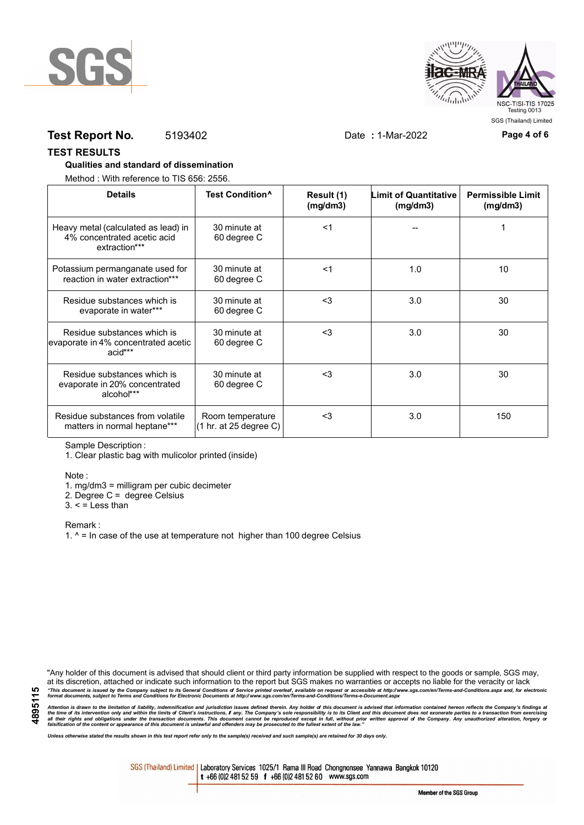



## **Test Report No.** 5193402 Date **:** 1-Mar-2022 **Page 4 of 6**

#### **TEST RESULTS**

#### **Qualities and standard of dissemination**

Method : With reference to TIS 656: 2556.

| <b>Details</b>                                                                      | Test Condition <sup>^</sup>                | Result (1)<br>(mg/dm3) | <b>Limit of Quantitative</b><br>(mg/dm3) | <b>Permissible Limit</b><br>(mg/dm3) |
|-------------------------------------------------------------------------------------|--------------------------------------------|------------------------|------------------------------------------|--------------------------------------|
| Heavy metal (calculated as lead) in<br>4% concentrated acetic acid<br>extraction*** | 30 minute at<br>60 degree C                | $<$ 1                  |                                          |                                      |
| Potassium permanganate used for<br>reaction in water extraction***                  | 30 minute at<br>60 degree C                | $<$ 1                  | 1.0                                      | 10                                   |
| Residue substances which is<br>evaporate in water***                                | 30 minute at<br>60 degree C                | $3$                    | 3.0                                      | 30                                   |
| Residue substances which is<br>evaporate in 4% concentrated acetic<br>acid***       | 30 minute at<br>60 degree C                | $3$                    | 3.0                                      | 30                                   |
| Residue substances which is<br>evaporate in 20% concentrated<br>alcohol***          | 30 minute at<br>60 degree C                | $3$                    | 3.0                                      | 30                                   |
| Residue substances from volatile<br>matters in normal heptane***                    | Room temperature<br>(1 hr. at 25 degree C) | $3$                    | 3.0                                      | 150                                  |

Sample Description :

1. Clear plastic bag with mulicolor printed (inside)

Note :

1. mg/dm3 = milligram per cubic decimeter

2. Degree C = degree Celsius

 $3. <$  = Less than

Remark :

1.  $^{\circ}$  = In case of the use at temperature not higher than 100 degree Celsius

"Any holder of this document is advised that should client or third party information be supplied with respect to the goods or sample, SGS may, at its discretion, attached or indicate such information to the report but SGS makes no warranties or accepts no liable for the veracity or lack "This document is issued by the Company subject to its General Conditions of Service printed overleaf, available on request or accessible at http://www.sgs.com/en/Terms-and-Conditions.aspx and, for electronic<br>format docume

Attention is drawn to the limitation of liability, indemnification and jurisdiction issues defined therein. Any holder of this document is advised that information contained hereon reflects the Company's findings at<br>all th

*Unless otherwise stated the results shown in this test report refer only to the sample(s) received and such sample(s) are retained for 30 days only.*

SGS (Thailand) Limited | Laboratory Services 1025/1 Rama III Road Chongnonsee Yannawa Bangkok 10120 t +66 (0)2 481 52 59 f +66 (0)2 481 52 60 www.sgs.com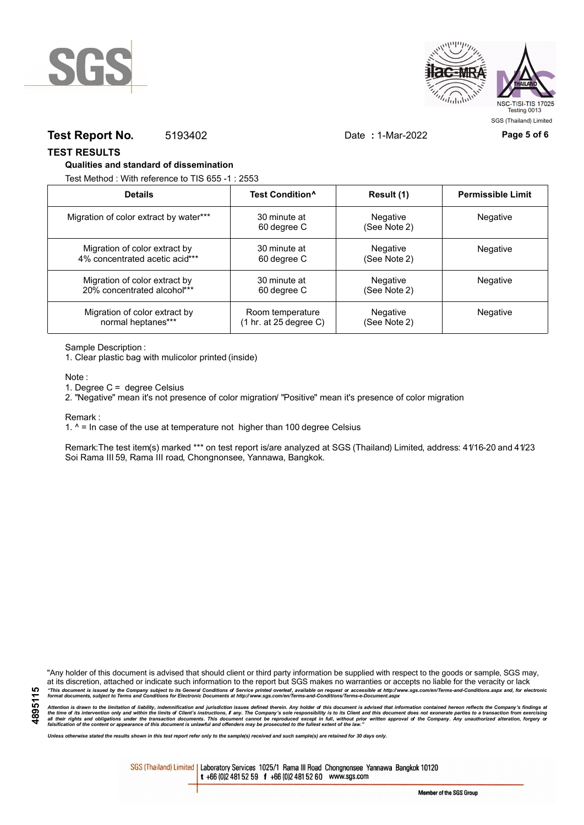



## **Test Report No.** 5193402 Date **:** 1-Mar-2022 **Page 5 of 6**

#### **TEST RESULTS**

#### **Qualities and standard of dissemination**

Test Method : With reference to TIS 655 -1 : 2553

| <b>Details</b>                         | Test Condition <sup>^</sup> | Result (1)               | <b>Permissible Limit</b> |
|----------------------------------------|-----------------------------|--------------------------|--------------------------|
| Migration of color extract by water*** | 30 minute at<br>60 degree C | Negative<br>(See Note 2) | Negative                 |
| Migration of color extract by          | 30 minute at                | Negative                 | <b>Negative</b>          |
| 4% concentrated acetic acid***         | 60 degree C                 | (See Note 2)             |                          |
| Migration of color extract by          | 30 minute at                | Negative                 | Negative                 |
| 20% concentrated alcohol***            | 60 degree C                 | (See Note 2)             |                          |
| Migration of color extract by          | Room temperature            | Negative                 | Negative                 |
| normal heptanes***                     | (1 hr. at 25 degree C)      | (See Note 2)             |                          |

Sample Description :

1. Clear plastic bag with mulicolor printed (inside)

Note :

1. Degree C = degree Celsius

2. "Negative" mean it's not presence of color migration/ "Positive" mean it's presence of color migration

Remark :

1.  $^{\circ}$  = In case of the use at temperature not higher than 100 degree Celsius

Remark:The test item(s) marked \*\*\* on test report is/are analyzed at SGS (Thailand) Limited, address: 41/16-20 and 41/23 Soi Rama III 59, Rama III road, Chongnonsee, Yannawa, Bangkok.

**4895115**

"Any holder of this document is advised that should client or third party information be supplied with respect to the goods or sample, SGS may, at its discretion, attached or indicate such information to the report but SGS makes no warranties or accepts no liable for the veracity or lack "This document is issued by the Company subject to its General Conditions of Service printed overleaf, available on request or accessible at http://www.sgs.com/en/Terms-and-Conditions.aspx and, for electronic<br>format docume

Attention is drawn to the limitation of liability, indemnification and jurisdiction issues defined therein. Any holder of this document is advised that information contained hereon reflects the Company's findings at<br>all th

*Unless otherwise stated the results shown in this test report refer only to the sample(s) received and such sample(s) are retained for 30 days only.*

SGS (Thailand) Limited | Laboratory Services 1025/1 Rama III Road Chongnonsee Yannawa Bangkok 10120 t +66 (0)2 481 52 59 f +66 (0)2 481 52 60 www.sgs.com